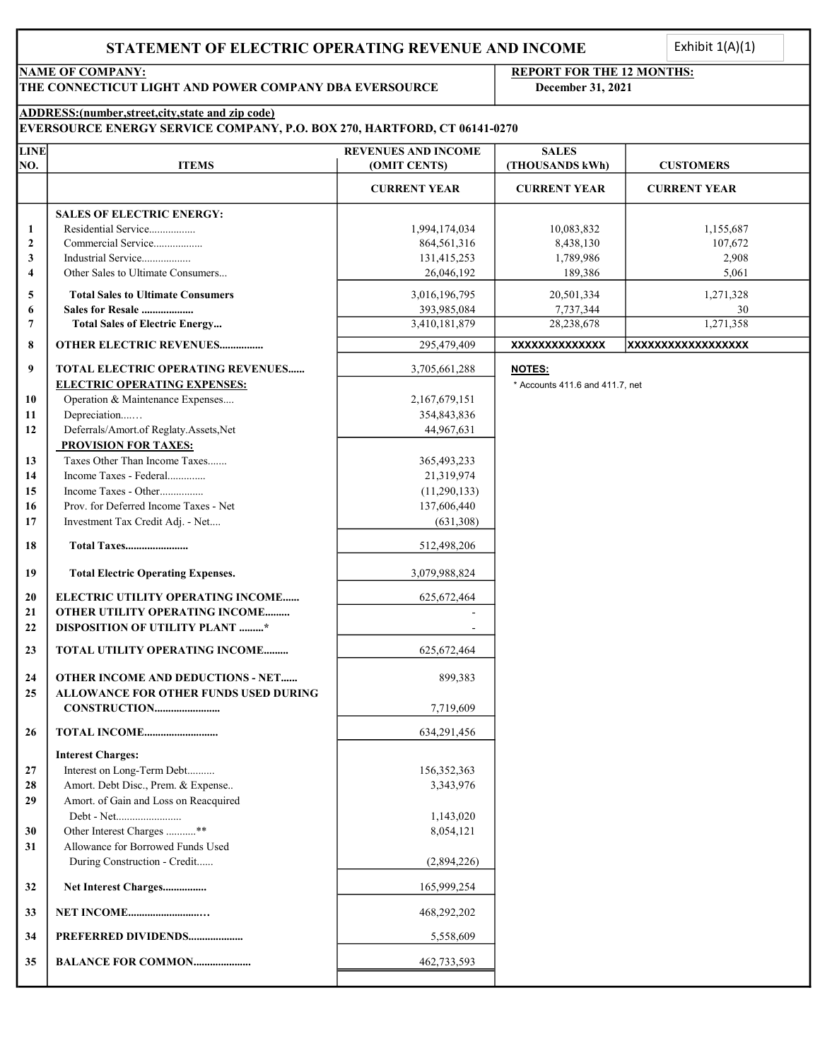### STATEMENT OF ELECTRIC OPERATING REVENUE AND INCOME

Exhibit  $1(A)(1)$ <br>HS:

THE CONNECTICUT LIGHT AND POWER COMPANY DBA EVERSOURCE December 31, 2021

## NAME OF COMPANY: REPORT FOR THE 12 MONTHS:

### ADDRESS:(number,street,city,state and zip code)

| <b>EVERSOURCE ENERGY SERVICE COMPANY, P.O. BOX 270, HARTFORD, CT 06141-0270</b> |  |  |  |
|---------------------------------------------------------------------------------|--|--|--|
|---------------------------------------------------------------------------------|--|--|--|

| <b>LINE</b>             |                                           | <b>REVENUES AND INCOME</b> | <b>SALES</b>                    |                     |
|-------------------------|-------------------------------------------|----------------------------|---------------------------------|---------------------|
| NO.                     | <b>ITEMS</b>                              | (OMIT CENTS)               | (THOUSANDS kWh)                 | <b>CUSTOMERS</b>    |
|                         |                                           | <b>CURRENT YEAR</b>        | <b>CURRENT YEAR</b>             | <b>CURRENT YEAR</b> |
|                         | <b>SALES OF ELECTRIC ENERGY:</b>          |                            |                                 |                     |
| 1                       | Residential Service                       | 1,994,174,034              | 10,083,832                      | 1,155,687           |
| $\boldsymbol{2}$        | Commercial Service                        | 864,561,316                | 8,438,130                       | 107,672             |
| 3                       | Industrial Service                        | 131,415,253                | 1,789,986                       | 2,908               |
| $\overline{\mathbf{4}}$ | Other Sales to Ultimate Consumers         | 26,046,192                 | 189,386                         | 5,061               |
|                         |                                           |                            |                                 |                     |
| 5                       | <b>Total Sales to Ultimate Consumers</b>  | 3,016,196,795              | 20,501,334                      | 1,271,328           |
| 6                       | Sales for Resale                          | 393,985,084                | 7,737,344                       | 30                  |
| 7                       | <b>Total Sales of Electric Energy</b>     | 3,410,181,879              | 28,238,678                      | 1,271,358           |
| 8                       | <b>OTHER ELECTRIC REVENUES</b>            | 295,479,409                | <b>XXXXXXXXXXXXXX</b>           | XXXXXXXXXXXXXXXXX   |
| 9                       | TOTAL ELECTRIC OPERATING REVENUES         | 3,705,661,288              | <b>NOTES:</b>                   |                     |
|                         | <b>ELECTRIC OPERATING EXPENSES:</b>       |                            | * Accounts 411.6 and 411.7, net |                     |
| 10                      | Operation & Maintenance Expenses          | 2,167,679,151              |                                 |                     |
| 11                      | Depreciation                              | 354,843,836                |                                 |                     |
| 12                      | Deferrals/Amort.of Reglaty.Assets,Net     | 44,967,631                 |                                 |                     |
|                         | <b>PROVISION FOR TAXES:</b>               |                            |                                 |                     |
| 13                      | Taxes Other Than Income Taxes             | 365, 493, 233              |                                 |                     |
| 14                      | Income Taxes - Federal                    | 21,319,974                 |                                 |                     |
| 15                      | Income Taxes - Other                      | (11,290,133)               |                                 |                     |
| 16                      | Prov. for Deferred Income Taxes - Net     | 137,606,440                |                                 |                     |
| 17                      | Investment Tax Credit Adj. - Net          | (631,308)                  |                                 |                     |
| 18                      |                                           | 512,498,206                |                                 |                     |
| 19                      | <b>Total Electric Operating Expenses.</b> | 3,079,988,824              |                                 |                     |
| 20                      | ELECTRIC UTILITY OPERATING INCOME         | 625, 672, 464              |                                 |                     |
| 21                      | OTHER UTILITY OPERATING INCOME            |                            |                                 |                     |
| 22                      | <b>DISPOSITION OF UTILITY PLANT *</b>     |                            |                                 |                     |
| 23                      | TOTAL UTILITY OPERATING INCOME            | 625, 672, 464              |                                 |                     |
|                         |                                           |                            |                                 |                     |
| 24                      | <b>OTHER INCOME AND DEDUCTIONS - NET</b>  | 899,383                    |                                 |                     |
| 25                      | ALLOWANCE FOR OTHER FUNDS USED DURING     |                            |                                 |                     |
|                         |                                           | 7,719,609                  |                                 |                     |
| 26                      |                                           | 634,291,456                |                                 |                     |
|                         | <b>Interest Charges:</b>                  |                            |                                 |                     |
| 27                      | Interest on Long-Term Debt                | 156,352,363                |                                 |                     |
| 28                      | Amort. Debt Disc., Prem. & Expense        | 3,343,976                  |                                 |                     |
| 29                      | Amort. of Gain and Loss on Reacquired     |                            |                                 |                     |
|                         | Debt - Net                                | 1,143,020                  |                                 |                     |
| 30                      | Other Interest Charges **                 | 8,054,121                  |                                 |                     |
| 31                      | Allowance for Borrowed Funds Used         |                            |                                 |                     |
|                         | During Construction - Credit              | (2,894,226)                |                                 |                     |
| 32                      | Net Interest Charges                      | 165,999,254                |                                 |                     |
| 33                      |                                           | 468,292,202                |                                 |                     |
| 34                      | PREFERRED DIVIDENDS                       | 5,558,609                  |                                 |                     |
| 35                      | <b>BALANCE FOR COMMON</b>                 | 462,733,593                |                                 |                     |
|                         |                                           |                            |                                 |                     |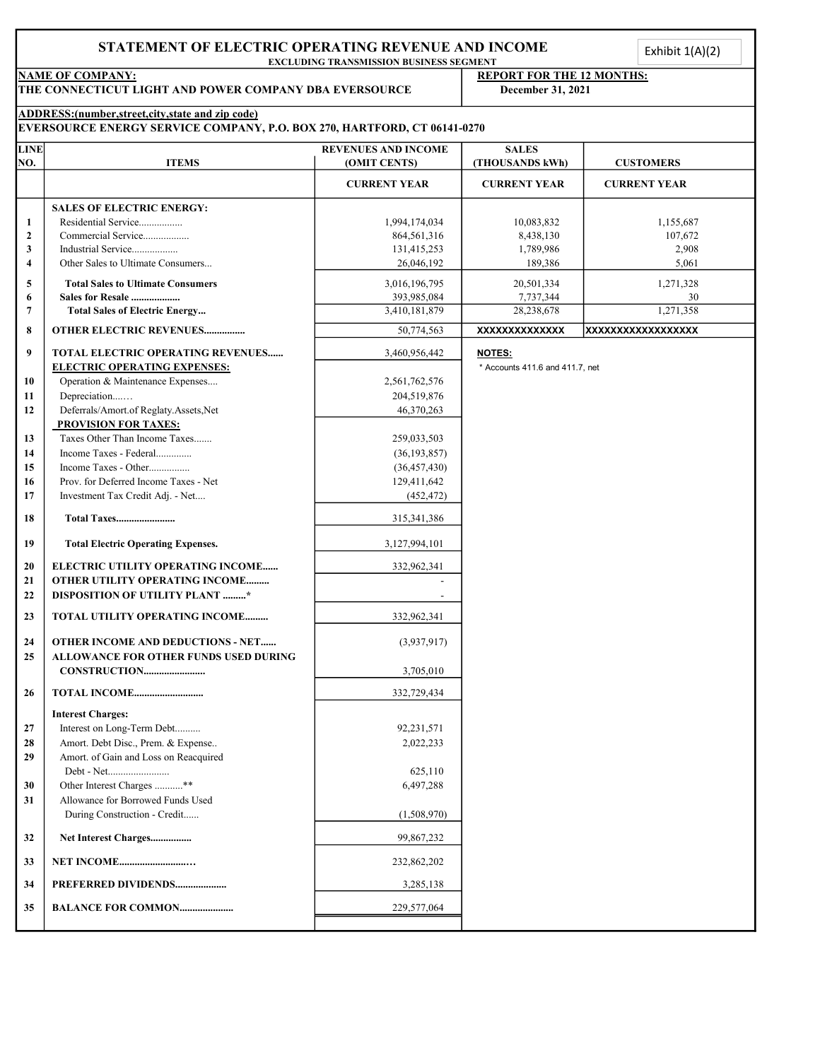# EXCLUDING TRANSMISSION BUSINESS SEGMENT NAME OF COMPANY:<br>THE CONNECTICUT LIGHT AND POWER COMPANY DBA EVERSOURCE December 31, 2021 THE CONNECTICUT LIGHT AND POWER COMPANY DBA EVERSOURCE ADDRESS:(number,street,city,state and zip code) EVERSOURCE ENERGY SERVICE COMPANY, P.O. BOX 270, HARTFORD, CT 06141-0270 **LINE REVENUES AND INCOME SALES** NO. ITEMS (OMIT CENTS) (THOUSANDS kWh) CUSTOMERS CURRENT YEAR CURRENT YEAR CURRENT YEAR SALES OF ELECTRIC ENERGY: 1 Residential Service................. 1,994,174,034 10,083,832 1,155,687 2 Commercial Service.................. 864,561,316 8,438,130 107,672 3 Industrial Service.................. 131,415,253 1,789,986 2,908 4 Other Sales to Ultimate Consumers... 26,046,192 189,386 5,061 5 Total Sales to Ultimate Consumers 20,016,196,795 3,016,196,795 3,016,196,795 3,016,196,795 3,016,196,795 3,016,196,795 3,016,196,795 3,016,196,795 3,016,196,795 3,016,196,795 3,016,196,795 3,016,197,197,197,197,197,197,1 6 Sales for Resale ................... 7,737,344 30 393,985,084 7 Total Sales of Electric Energy... 28,238,678 1,271,358 8 OTHER ELECTRIC REVENUES................ 50,774,563 XXXXXXXXXXXXXX XXXXXXXXXXXXXXXXXX 9 | TOTAL ELECTRIC OPERATING REVENUES...... | 3,460,956,442 | NOTES: ELECTRIC OPERATING EXPENSES:  $*$  Accounts 411.6 and 411.7, net 10 Operation & Maintenance Expenses.... 2,561,762,576 11 Depreciation....… 204,519,876 12 Deferrals/Amort.of Reglaty.Assets,Net 46,370,263 PROVISION FOR TAXES: 13 Taxes Other Than Income Taxes....... 259,033,503 14 Income Taxes - Federal.............. (36,193,857) 15 Income Taxes - Other................ (36,457,430) 16 Prov. for Deferred Income Taxes - Net 129,411,642 17 Investment Tax Credit Adj. - Net.... (452,472) 18 Total Taxes....................... 315,341,386 19 Total Electric Operating Expenses. 2008 19 3,127,994,101 20 ELECTRIC UTILITY OPERATING INCOME...... 1 332,962.341 21 OTHER UTILITY OPERATING INCOME......... 22 DISPOSITION OF UTILITY PLANT .........\* 23 TOTAL UTILITY OPERATING INCOME........... | 332,962,341 24 OTHER INCOME AND DEDUCTIONS - NET...... (3,937,917) 25 ALLOWANCE FOR OTHER FUNDS USED DURING CONSTRUCTION........................ 3,705,010 26 TOTAL INCOME........................... 332,729,434 Interest Charges: 27 Interest on Long-Term Debt.......... 92,231,571 28 Amort. Debt Disc., Prem. & Expense.. 2,022,233 29 Amort. of Gain and Loss on Reacquired Debt - Net........................ 625,110 30 Other Interest Charges ............\*\* 6,497,288 31 Allowance for Borrowed Funds Used During Construction - Credit...... (1,508,970) 32 Net Interest Charges................ 99,867,232 33 NET INCOME..........................… 232,862,202 34 **PREFERRED DIVIDENDS....................** 3,285,138 35 BALANCE FOR COMMON..................... 229,577,064 Exhibit  $1(A)(2)$ <br> $\vdots$

STATEMENT OF ELECTRIC OPERATING REVENUE AND INCOME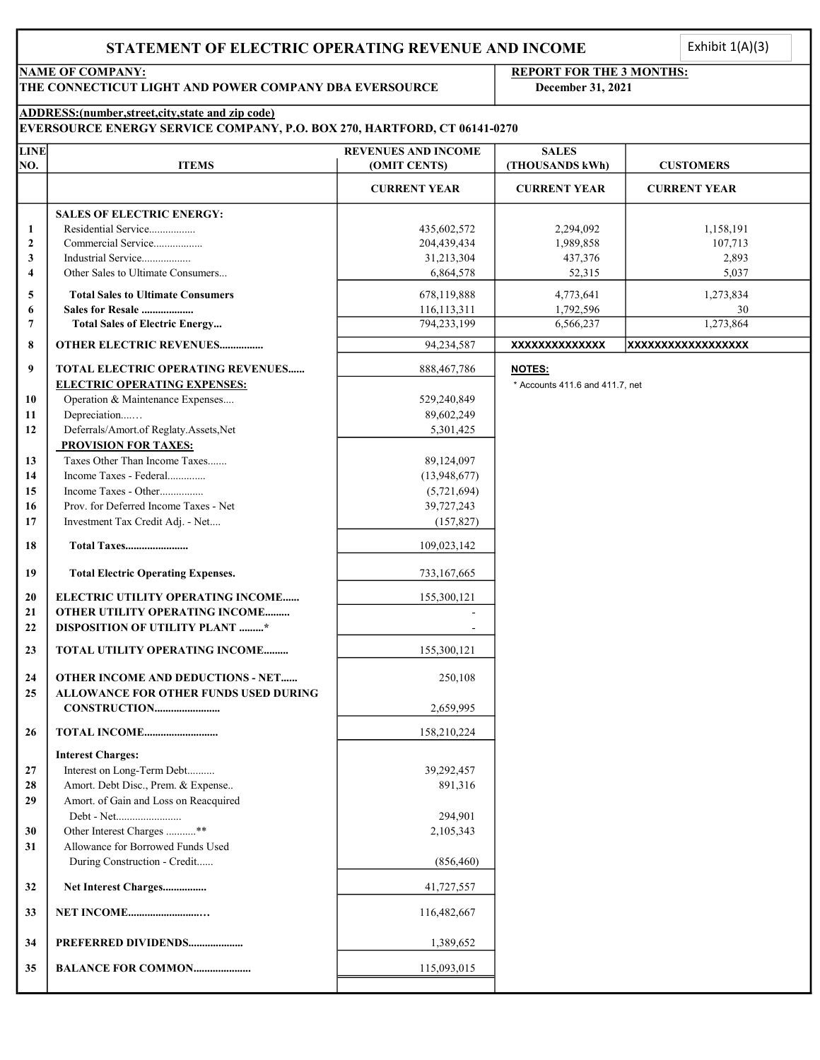### STATEMENT OF ELECTRIC OPERATING REVENUE AND INCOME

Exhibit  $1(A)(3)$ 

## NAME OF COMPANY: REPORT FOR THE 3 MONTHS:

#### ADDRESS:(number,street,city,state and zip code)

| THE CONNECTICUT LIGHT AND POWER COMPANY DBA EVERSOURCE |                                                                                   | December 31, 2021                          |                                 |                     |
|--------------------------------------------------------|-----------------------------------------------------------------------------------|--------------------------------------------|---------------------------------|---------------------|
|                                                        | ADDRESS: (number, street, city, state and zip code)                               |                                            |                                 |                     |
|                                                        | EVERSOURCE ENERGY SERVICE COMPANY, P.O. BOX 270, HARTFORD, CT 06141-0270          |                                            |                                 |                     |
| <b>LINE</b><br>NO.                                     | <b>ITEMS</b>                                                                      | <b>REVENUES AND INCOME</b><br>(OMIT CENTS) | <b>SALES</b><br>(THOUSANDS kWh) | <b>CUSTOMERS</b>    |
|                                                        |                                                                                   | <b>CURRENT YEAR</b>                        | <b>CURRENT YEAR</b>             | <b>CURRENT YEAR</b> |
|                                                        | <b>SALES OF ELECTRIC ENERGY:</b>                                                  |                                            |                                 |                     |
| 1                                                      | Residential Service                                                               | 435,602,572                                | 2,294,092                       | 1,158,191           |
| $\mathbf{2}$                                           | Commercial Service                                                                | 204,439,434                                | 1,989,858                       | 107,713             |
| 3                                                      | Industrial Service                                                                | 31,213,304                                 | 437,376                         | 2,893               |
| 4                                                      | Other Sales to Ultimate Consumers                                                 | 6,864,578                                  | 52,315                          | 5,037               |
| 5                                                      | <b>Total Sales to Ultimate Consumers</b>                                          | 678,119,888                                | 4,773,641                       | 1,273,834           |
| 6                                                      | Sales for Resale                                                                  | 116,113,311                                | 1,792,596                       | 30                  |
| 7                                                      | <b>Total Sales of Electric Energy</b>                                             | 794,233,199                                | 6,566,237                       | 1,273,864           |
| 8                                                      | <b>OTHER ELECTRIC REVENUES</b>                                                    | 94,234,587                                 | <b>XXXXXXXXXXXXXX</b>           | XXXXXXXXXXXXXXXXXX  |
|                                                        |                                                                                   |                                            |                                 |                     |
| 9                                                      | <b>TOTAL ELECTRIC OPERATING REVENUES</b>                                          | 888,467,786                                | <b>NOTES:</b>                   |                     |
|                                                        | <b>ELECTRIC OPERATING EXPENSES:</b>                                               |                                            | * Accounts 411.6 and 411.7, net |                     |
| 10                                                     | Operation & Maintenance Expenses                                                  | 529,240,849                                |                                 |                     |
| 11                                                     | Depreciation                                                                      | 89,602,249                                 |                                 |                     |
| 12                                                     | Deferrals/Amort.of Reglaty.Assets,Net                                             | 5,301,425                                  |                                 |                     |
|                                                        | <b>PROVISION FOR TAXES:</b>                                                       |                                            |                                 |                     |
| 13                                                     | Taxes Other Than Income Taxes                                                     | 89,124,097                                 |                                 |                     |
| 14                                                     | Income Taxes - Federal                                                            | (13,948,677)                               |                                 |                     |
| 15                                                     | Income Taxes - Other                                                              | (5,721,694)                                |                                 |                     |
| 16                                                     | Prov. for Deferred Income Taxes - Net                                             | 39,727,243                                 |                                 |                     |
| 17                                                     | Investment Tax Credit Adj. - Net                                                  | (157, 827)                                 |                                 |                     |
| 18                                                     |                                                                                   | 109,023,142                                |                                 |                     |
| 19                                                     | <b>Total Electric Operating Expenses.</b>                                         | 733,167,665                                |                                 |                     |
| 20                                                     | ELECTRIC UTILITY OPERATING INCOME                                                 | 155,300,121                                |                                 |                     |
| 21                                                     | OTHER UTILITY OPERATING INCOME                                                    |                                            |                                 |                     |
| 22                                                     | <b>DISPOSITION OF UTILITY PLANT *</b>                                             |                                            |                                 |                     |
| 23                                                     | TOTAL UTILITY OPERATING INCOME                                                    | 155,300,121                                |                                 |                     |
| 24<br>25                                               | <b>OTHER INCOME AND DEDUCTIONS - NET</b><br>ALLOWANCE FOR OTHER FUNDS USED DURING | 250,108                                    |                                 |                     |
|                                                        |                                                                                   | 2,659,995                                  |                                 |                     |
| 26                                                     | <b>TOTAL INCOME</b>                                                               | 158,210,224                                |                                 |                     |
|                                                        | <b>Interest Charges:</b>                                                          |                                            |                                 |                     |
| 27                                                     | Interest on Long-Term Debt                                                        | 39,292,457                                 |                                 |                     |
| 28                                                     | Amort. Debt Disc., Prem. & Expense                                                | 891,316                                    |                                 |                     |
| 29                                                     | Amort. of Gain and Loss on Reacquired                                             |                                            |                                 |                     |
|                                                        | Debt - Net                                                                        | 294,901                                    |                                 |                     |
| 30                                                     | Other Interest Charges **                                                         | 2,105,343                                  |                                 |                     |
| 31                                                     | Allowance for Borrowed Funds Used                                                 |                                            |                                 |                     |
|                                                        | During Construction - Credit                                                      | (856, 460)                                 |                                 |                     |
|                                                        |                                                                                   |                                            |                                 |                     |
| 32                                                     | Net Interest Charges                                                              | 41,727,557                                 |                                 |                     |
| 33                                                     | NET INCOME                                                                        | 116,482,667                                |                                 |                     |
| 34                                                     | PREFERRED DIVIDENDS                                                               | 1,389,652                                  |                                 |                     |
| 35                                                     | <b>BALANCE FOR COMMON</b>                                                         | 115,093,015                                |                                 |                     |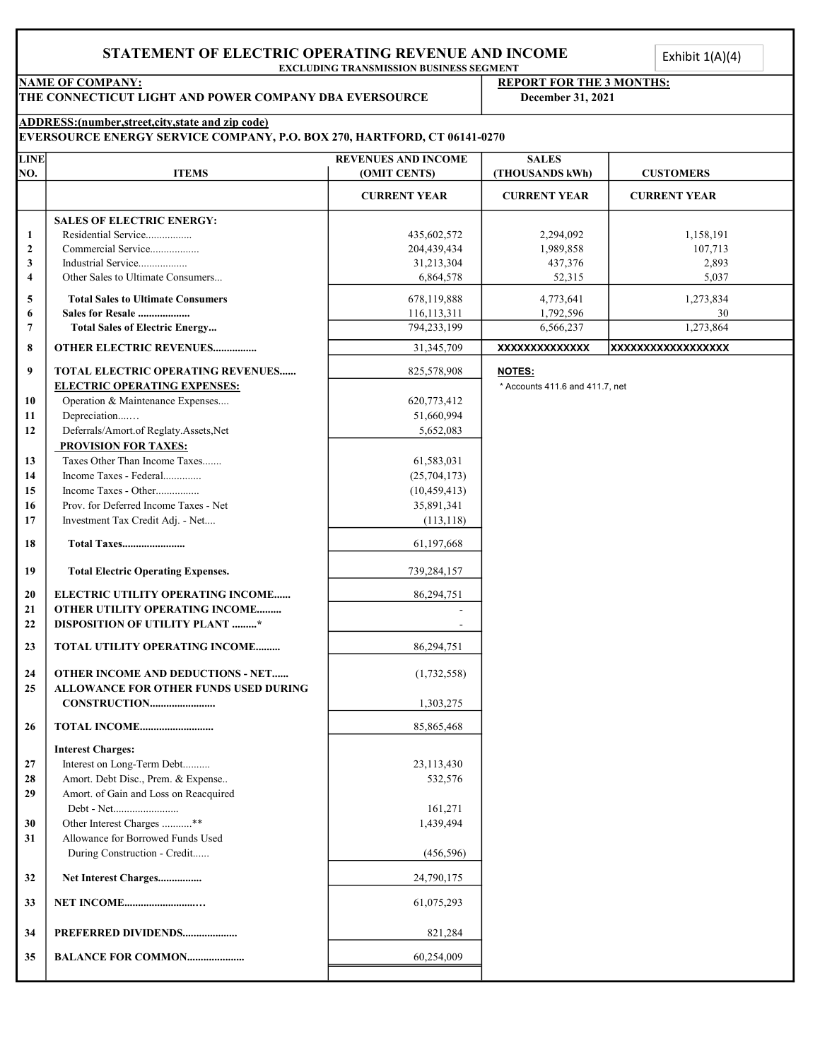#### STATEMENT OF ELECTRIC OPERATING REVENUE AND INCOME

#### NAME OF COMPANY:<br>
THE CONNECTICUT LIGHT AND POWER COMPANY DBA EVERSOURCE<br>
Pecember 31, 2021 THE CONNECTICUT LIGHT AND POWER COMPANY DBA EVERSOURCE

|                                |                                                                                                                                | <b>EXCLUDING TRANSMISSION BUSINESS SEGMENT</b> |                                                      |                     |
|--------------------------------|--------------------------------------------------------------------------------------------------------------------------------|------------------------------------------------|------------------------------------------------------|---------------------|
|                                | <b>NAME OF COMPANY:</b><br>THE CONNECTICUT LIGHT AND POWER COMPANY DBA EVERSOURCE                                              |                                                | <b>REPORT FOR THE 3 MONTHS:</b><br>December 31, 2021 |                     |
|                                | ADDRESS:(number, street, city, state and zip code)<br>EVERSOURCE ENERGY SERVICE COMPANY, P.O. BOX 270, HARTFORD, CT 06141-0270 |                                                |                                                      |                     |
| <b>LINE</b>                    |                                                                                                                                | <b>REVENUES AND INCOME</b>                     | <b>SALES</b>                                         |                     |
| NO.                            | <b>ITEMS</b>                                                                                                                   | (OMIT CENTS)                                   | (THOUSANDS kWh)                                      | <b>CUSTOMERS</b>    |
|                                |                                                                                                                                | <b>CURRENT YEAR</b>                            | <b>CURRENT YEAR</b>                                  | <b>CURRENT YEAR</b> |
| $\mathbf{1}$                   | <b>SALES OF ELECTRIC ENERGY:</b><br>Residential Service                                                                        | 435,602,572                                    | 2,294,092                                            | 1,158,191           |
| $\overline{2}$<br>$\mathbf{3}$ | Commercial Service<br>Industrial Service                                                                                       | 204,439,434<br>31,213,304                      | 1,989,858<br>437,376                                 | 107,713<br>2,893    |
| $\overline{4}$                 | Other Sales to Ultimate Consumers                                                                                              | 6,864,578                                      | 52,315                                               | 5,037               |
| 5                              | <b>Total Sales to Ultimate Consumers</b>                                                                                       | 678,119,888                                    | 4,773,641                                            | 1,273,834           |
| 6<br>$7\phantom{.0}$           | Sales for Resale<br><b>Total Sales of Electric Energy</b>                                                                      | 116,113,311<br>794,233,199                     | 1,792,596<br>6,566,237                               | 30<br>1,273,864     |
| 8                              | <b>OTHER ELECTRIC REVENUES</b>                                                                                                 | 31,345,709                                     | XXXXXXXXXXXXX                                        | XXXXXXXXXXXXXXXXXX  |
| 9                              | TOTAL ELECTRIC OPERATING REVENUES                                                                                              | 825,578,908                                    | NOTES:                                               |                     |
|                                | <b>ELECTRIC OPERATING EXPENSES:</b>                                                                                            |                                                | * Accounts 411.6 and 411.7, net                      |                     |
| 10<br>11                       | Operation & Maintenance Expenses<br>Depreciation                                                                               | 620,773,412<br>51,660,994                      |                                                      |                     |
| 12                             | Deferrals/Amort.of Reglaty.Assets,Net                                                                                          | 5,652,083                                      |                                                      |                     |
| 13                             | <b>PROVISION FOR TAXES:</b><br>Taxes Other Than Income Taxes                                                                   | 61,583,031                                     |                                                      |                     |
| 14                             | Income Taxes - Federal                                                                                                         | (25, 704, 173)                                 |                                                      |                     |
| 15<br>16                       | Income Taxes - Other<br>Prov. for Deferred Income Taxes - Net                                                                  | (10, 459, 413)<br>35,891,341                   |                                                      |                     |
| 17                             | Investment Tax Credit Adj. - Net                                                                                               | (113, 118)                                     |                                                      |                     |
| 18                             | Total Taxes                                                                                                                    | 61,197,668                                     |                                                      |                     |
| 19                             | <b>Total Electric Operating Expenses.</b>                                                                                      | 739,284,157                                    |                                                      |                     |
| 20                             | ELECTRIC UTILITY OPERATING INCOME                                                                                              | 86,294,751                                     |                                                      |                     |
| 21<br>22                       | OTHER UTILITY OPERATING INCOME<br>DISPOSITION OF UTILITY PLANT *                                                               |                                                |                                                      |                     |
| 23                             | TOTAL UTILITY OPERATING INCOME                                                                                                 | 86,294,751                                     |                                                      |                     |
|                                |                                                                                                                                |                                                |                                                      |                     |
| 24<br>25                       | OTHER INCOME AND DEDUCTIONS - NET<br>ALLOWANCE FOR OTHER FUNDS USED DURING                                                     | (1, 732, 558)                                  |                                                      |                     |
|                                | CONSTRUCTION                                                                                                                   | 1,303,275                                      |                                                      |                     |
| 26                             | TOTAL INCOME                                                                                                                   | 85,865,468                                     |                                                      |                     |
|                                | <b>Interest Charges:</b>                                                                                                       |                                                |                                                      |                     |
| 27<br>28                       | Interest on Long-Term Debt<br>Amort. Debt Disc., Prem. & Expense                                                               | 23,113,430<br>532,576                          |                                                      |                     |
| 29                             | Amort. of Gain and Loss on Reacquired                                                                                          |                                                |                                                      |                     |
| 30                             | Debt - Net<br>Other Interest Charges **                                                                                        | 161,271<br>1,439,494                           |                                                      |                     |
| 31                             | Allowance for Borrowed Funds Used                                                                                              |                                                |                                                      |                     |
|                                | During Construction - Credit                                                                                                   | (456, 596)                                     |                                                      |                     |
| 32                             | Net Interest Charges                                                                                                           | 24,790,175                                     |                                                      |                     |
| 33                             | <b>NET INCOME</b>                                                                                                              | 61,075,293                                     |                                                      |                     |
| 34                             | PREFERRED DIVIDENDS                                                                                                            | 821,284                                        |                                                      |                     |
| 35                             | <b>BALANCE FOR COMMON</b>                                                                                                      | 60,254,009                                     |                                                      |                     |
|                                |                                                                                                                                |                                                |                                                      |                     |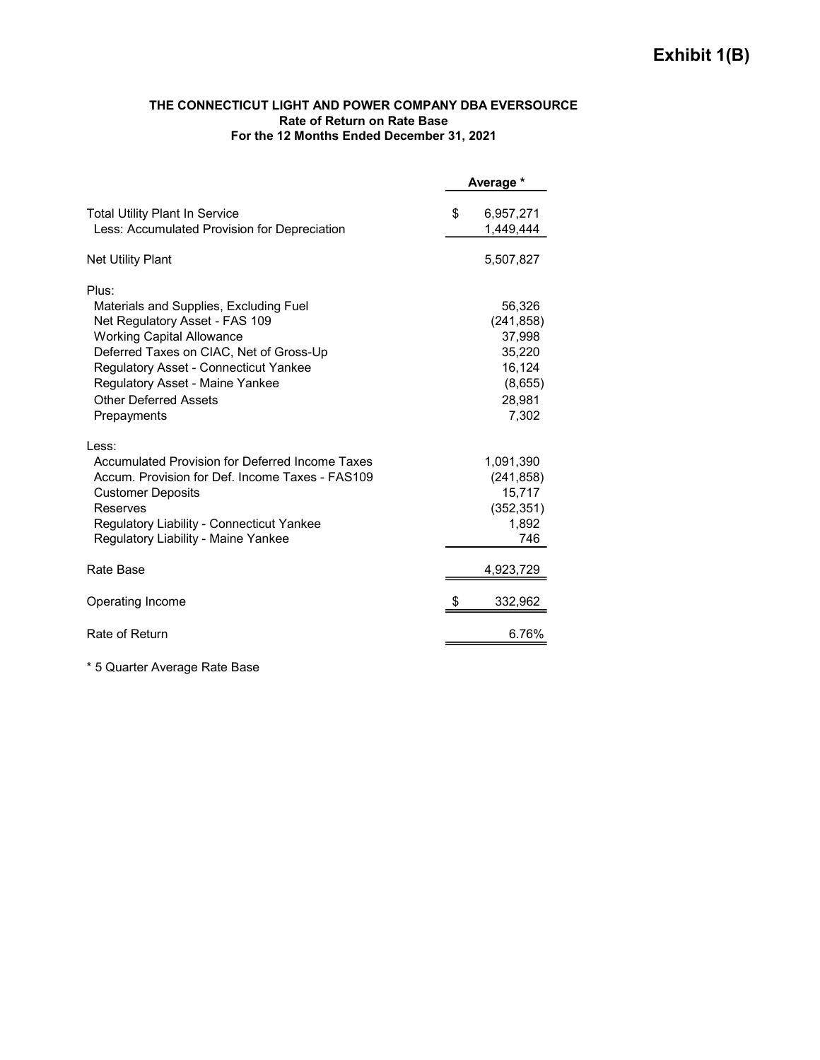#### THE CONNECTICUT LIGHT AND POWER COMPANY DBA EVERSOURCE Rate of Return on Rate Base For the 12 Months Ended December 31, 2021

|                                                                                                                                                                                                                                                                                     |    | Average *                                                               |
|-------------------------------------------------------------------------------------------------------------------------------------------------------------------------------------------------------------------------------------------------------------------------------------|----|-------------------------------------------------------------------------|
| <b>Total Utility Plant In Service</b><br>Less: Accumulated Provision for Depreciation                                                                                                                                                                                               | \$ | 6,957,271<br>1,449,444                                                  |
| <b>Net Utility Plant</b>                                                                                                                                                                                                                                                            |    | 5,507,827                                                               |
| Plus:<br>Materials and Supplies, Excluding Fuel<br>Net Regulatory Asset - FAS 109<br><b>Working Capital Allowance</b><br>Deferred Taxes on CIAC, Net of Gross-Up<br><b>Regulatory Asset - Connecticut Yankee</b><br>Regulatory Asset - Maine Yankee<br><b>Other Deferred Assets</b> |    | 56,326<br>(241, 858)<br>37,998<br>35,220<br>16,124<br>(8,655)<br>28,981 |
| Prepayments<br>Less:<br>Accumulated Provision for Deferred Income Taxes                                                                                                                                                                                                             |    | 7,302<br>1,091,390                                                      |
| Accum. Provision for Def. Income Taxes - FAS109<br><b>Customer Deposits</b><br>Reserves<br>Regulatory Liability - Connecticut Yankee<br>Regulatory Liability - Maine Yankee                                                                                                         |    | (241, 858)<br>15,717<br>(352, 351)<br>1,892<br>746                      |
| Rate Base                                                                                                                                                                                                                                                                           |    | 4,923,729                                                               |
| Operating Income                                                                                                                                                                                                                                                                    | S  | 332,962                                                                 |
| Rate of Return                                                                                                                                                                                                                                                                      |    | 6.76%                                                                   |

\* 5 Quarter Average Rate Base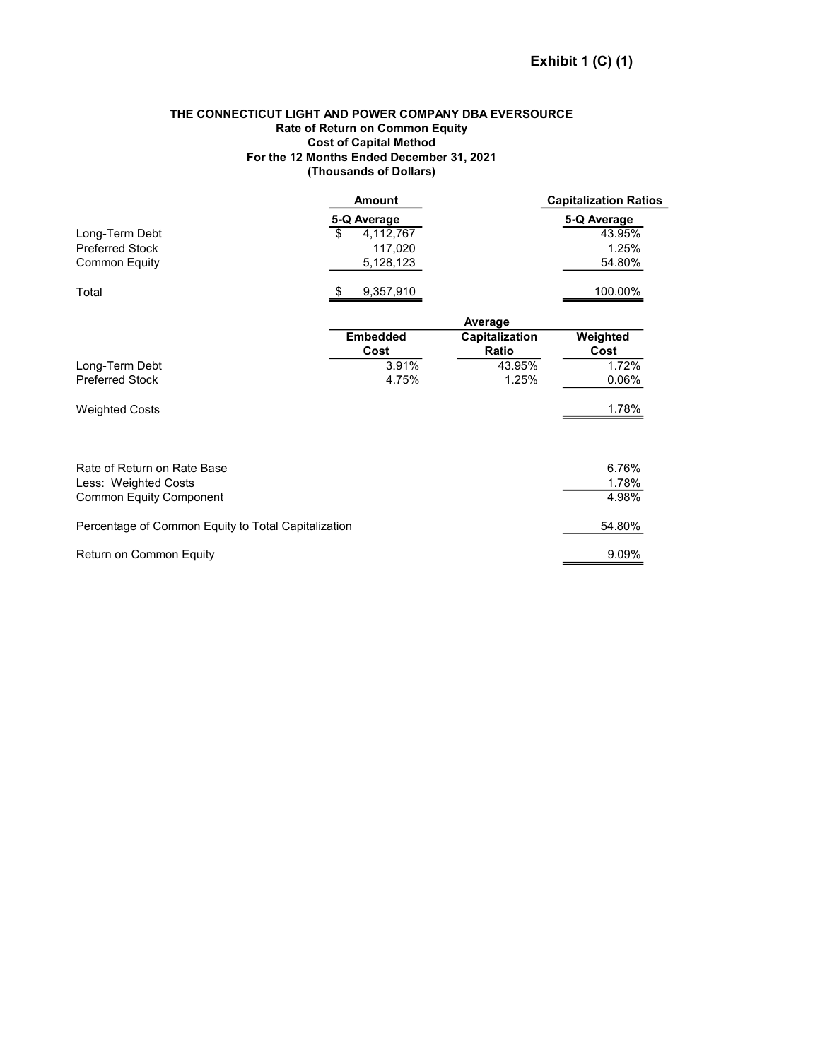#### THE CONNECTICUT LIGHT AND POWER COMPANY DBA EVERSOURCE Rate of Return on Common Equity Cost of Capital Method For the 12 Months Ended December 31, 2021 (Thousands of Dollars)

|                                                     | <b>Amount</b>   |                | <b>Capitalization Ratios</b> |
|-----------------------------------------------------|-----------------|----------------|------------------------------|
|                                                     | 5-Q Average     |                | 5-Q Average                  |
| Long-Term Debt                                      | \$<br>4,112,767 |                | 43.95%                       |
| <b>Preferred Stock</b>                              | 117,020         |                | 1.25%                        |
| <b>Common Equity</b>                                | 5,128,123       |                | 54.80%                       |
| Total                                               | 9,357,910<br>S  |                | 100.00%                      |
|                                                     |                 | Average        |                              |
|                                                     | <b>Embedded</b> | Capitalization | Weighted                     |
|                                                     | Cost            | Ratio          | Cost                         |
| Long-Term Debt                                      | 3.91%           | 43.95%         | 1.72%                        |
| <b>Preferred Stock</b>                              | 4.75%           | 1.25%          | 0.06%                        |
| <b>Weighted Costs</b>                               |                 |                | 1.78%                        |
|                                                     |                 |                |                              |
| Rate of Return on Rate Base                         |                 |                | 6.76%                        |
| Less: Weighted Costs                                |                 |                | 1.78%                        |
| <b>Common Equity Component</b>                      |                 |                | 4.98%                        |
| Percentage of Common Equity to Total Capitalization |                 |                | 54.80%                       |
| Return on Common Equity                             |                 |                | 9.09%                        |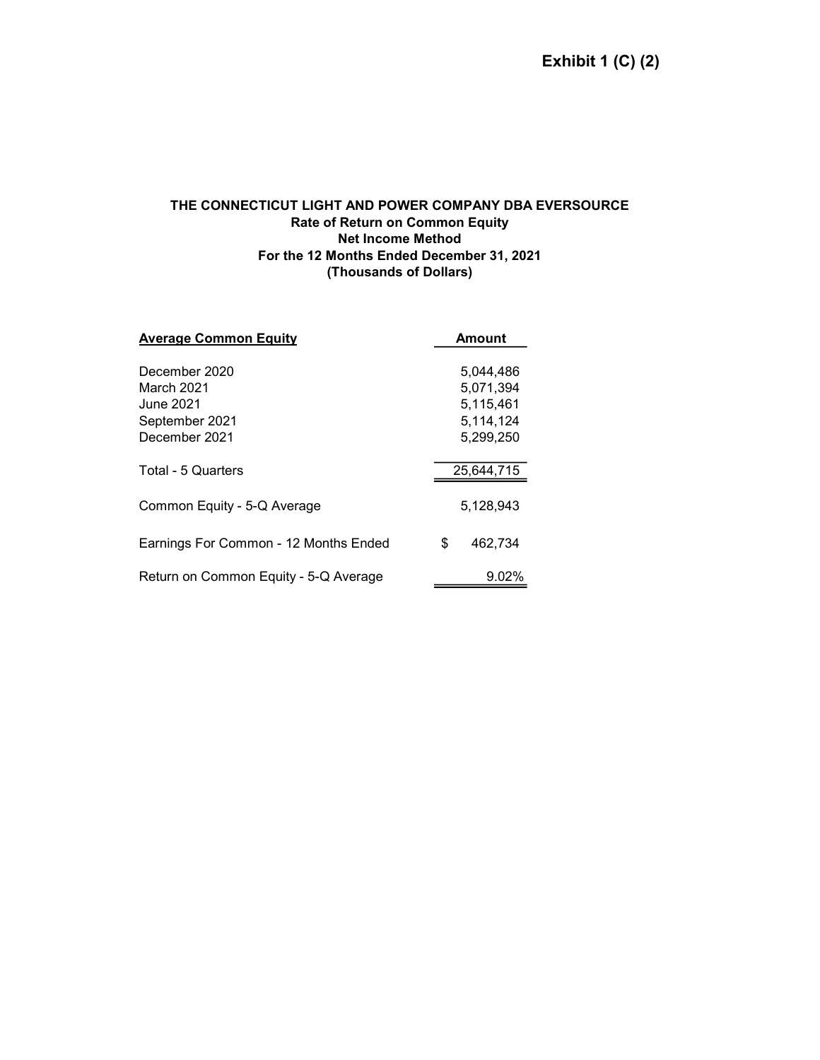#### THE CONNECTICUT LIGHT AND POWER COMPANY DBA EVERSOURCE Rate of Return on Common Equity Net Income Method For the 12 Months Ended December 31, 2021 (Thousands of Dollars)

| <b>Average Common Equity</b>               | <b>Amount</b>                       |  |  |
|--------------------------------------------|-------------------------------------|--|--|
| December 2020                              | 5,044,486                           |  |  |
| March 2021<br>June 2021.<br>September 2021 | 5,071,394<br>5,115,461<br>5,114,124 |  |  |
| December 2021                              | 5,299,250                           |  |  |
| Total - 5 Quarters                         | 25,644,715                          |  |  |
| Common Equity - 5-Q Average                | 5,128,943                           |  |  |
| Earnings For Common - 12 Months Ended      | \$<br>462.734                       |  |  |
| Return on Common Equity - 5-Q Average      | 9.02%                               |  |  |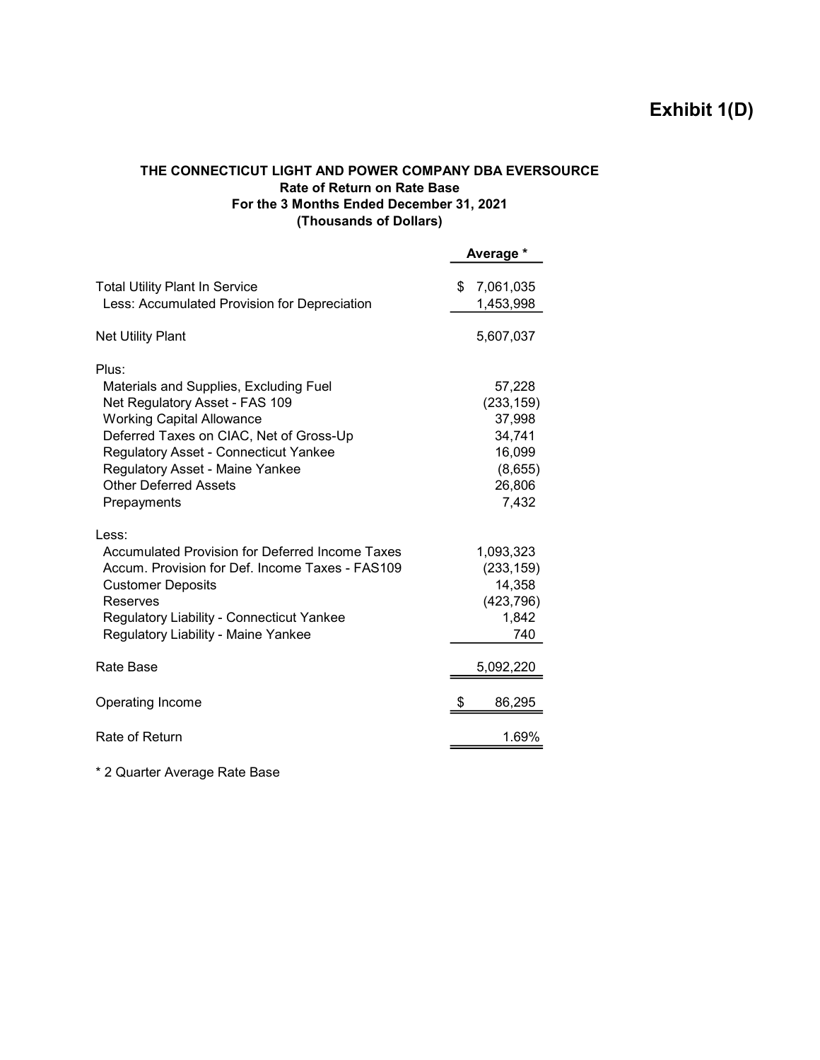# Exhibit 1(D)

### THE CONNECTICUT LIGHT AND POWER COMPANY DBA EVERSOURCE Rate of Return on Rate Base For the 3 Months Ended December 31, 2021 (Thousands of Dollars)

|                                                                                                                                                                                                                                                                                                    |    | Average *                                                                        |
|----------------------------------------------------------------------------------------------------------------------------------------------------------------------------------------------------------------------------------------------------------------------------------------------------|----|----------------------------------------------------------------------------------|
| <b>Total Utility Plant In Service</b><br>Less: Accumulated Provision for Depreciation                                                                                                                                                                                                              | \$ | 7,061,035<br>1,453,998                                                           |
| <b>Net Utility Plant</b>                                                                                                                                                                                                                                                                           |    | 5,607,037                                                                        |
| Plus:<br>Materials and Supplies, Excluding Fuel<br>Net Regulatory Asset - FAS 109<br><b>Working Capital Allowance</b><br>Deferred Taxes on CIAC, Net of Gross-Up<br><b>Regulatory Asset - Connecticut Yankee</b><br>Regulatory Asset - Maine Yankee<br><b>Other Deferred Assets</b><br>Prepayments |    | 57,228<br>(233, 159)<br>37,998<br>34,741<br>16,099<br>(8,655)<br>26,806<br>7,432 |
| Less:<br><b>Accumulated Provision for Deferred Income Taxes</b><br>Accum, Provision for Def. Income Taxes - FAS109<br><b>Customer Deposits</b><br>Reserves<br><b>Regulatory Liability - Connecticut Yankee</b><br>Regulatory Liability - Maine Yankee                                              |    | 1,093,323<br>(233, 159)<br>14,358<br>(423, 796)<br>1,842<br>740                  |
| Rate Base                                                                                                                                                                                                                                                                                          |    | 5,092,220                                                                        |
| Operating Income                                                                                                                                                                                                                                                                                   | S  | 86,295                                                                           |
| Rate of Return                                                                                                                                                                                                                                                                                     |    | 1.69%                                                                            |

\* 2 Quarter Average Rate Base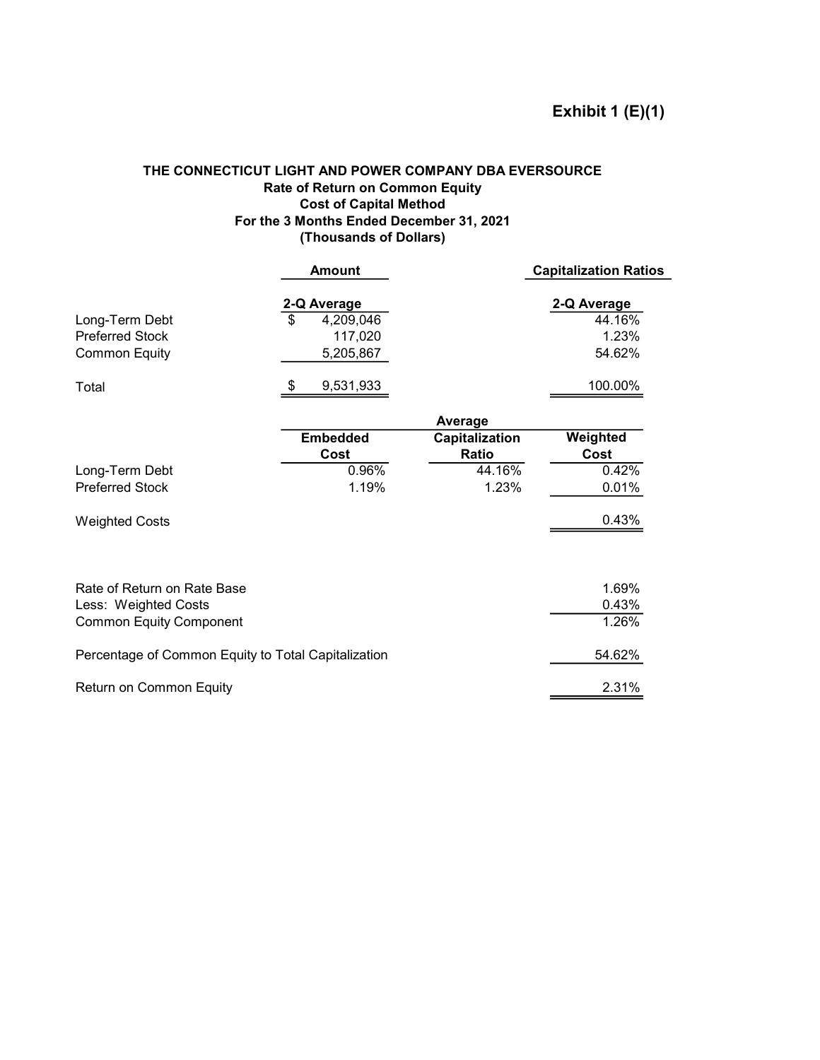### THE CONNECTICUT LIGHT AND POWER COMPANY DBA EVERSOURCE Rate of Return on Common Equity Cost of Capital Method For the 3 Months Ended December 31, 2021 (Thousands of Dollars)

|                                                                  |    | <b>Amount</b>                                    |                | <b>Capitalization Ratios</b>             |
|------------------------------------------------------------------|----|--------------------------------------------------|----------------|------------------------------------------|
| Long-Term Debt<br><b>Preferred Stock</b><br><b>Common Equity</b> | \$ | 2-Q Average<br>4,209,046<br>117,020<br>5,205,867 |                | 2-Q Average<br>44.16%<br>1.23%<br>54.62% |
| Total                                                            | S  | 9,531,933                                        |                | 100.00%                                  |
|                                                                  |    |                                                  | Average        |                                          |
|                                                                  |    | <b>Embedded</b>                                  | Capitalization | Weighted                                 |
|                                                                  |    | Cost                                             | <b>Ratio</b>   | Cost                                     |
| Long-Term Debt                                                   |    | 0.96%                                            | 44.16%         | 0.42%                                    |
| <b>Preferred Stock</b>                                           |    | 1.19%                                            | 1.23%          | 0.01%                                    |
| <b>Weighted Costs</b>                                            |    |                                                  |                | 0.43%                                    |
|                                                                  |    |                                                  |                |                                          |
| Rate of Return on Rate Base                                      |    |                                                  |                | 1.69%                                    |
| Less: Weighted Costs                                             |    |                                                  |                | 0.43%                                    |
| <b>Common Equity Component</b>                                   |    |                                                  |                | 1.26%                                    |
| Percentage of Common Equity to Total Capitalization              |    |                                                  |                | 54.62%                                   |
| Return on Common Equity                                          |    |                                                  |                | 2.31%                                    |